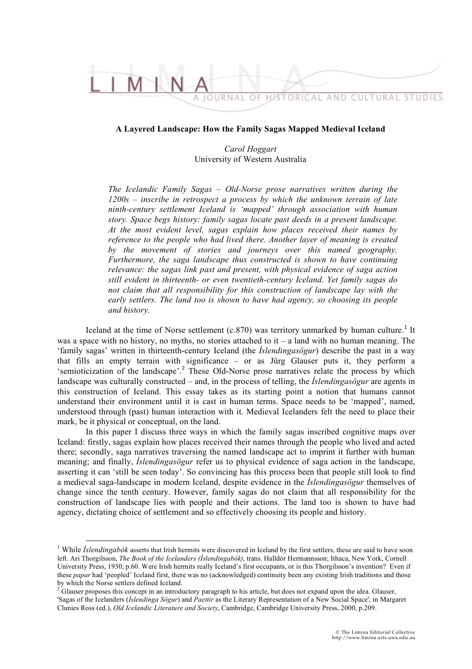## TORICAL AND CULTURAL STUDIES

## **A Layered Landscape: How the Family Sagas Mapped Medieval Iceland**

*Carol Hoggart* University of Western Australia

*The Icelandic Family Sagas – Old-Norse prose narratives written during the 1200s – inscribe in retrospect a process by which the unknown terrain of late ninth-century settlement Iceland is 'mapped' through association with human story. Space begs history: family sagas locate past deeds in a present landscape. At the most evident level, sagas explain how places received their names by reference to the people who had lived there. Another layer of meaning is created by the movement of stories and journeys over this named geography. Furthermore, the saga landscape thus constructed is shown to have continuing relevance: the sagas link past and present, with physical evidence of saga action still evident in thirteenth- or even twentieth-century Iceland. Yet family sagas do not claim that all responsibility for this construction of landscape lay with the early settlers. The land too is shown to have had agency, so choosing its people and history.*

Iceland at the time of Norse settlement  $(c.870)$  was territory unmarked by human culture.<sup>1</sup> It was a space with no history, no myths, no stories attached to it – a land with no human meaning. The 'family sagas' written in thirteenth-century Iceland (the *Íslendingasögur*) describe the past in a way that fills an empty terrain with significance – or as Jürg Glauser puts it, they perform a 'semioticization of the landscape'.<sup>2</sup> These Old-Norse prose narratives relate the process by which landscape was culturally constructed – and, in the process of telling, the *Íslendingasögur* are agents in this construction of Iceland. This essay takes as its starting point a notion that humans cannot understand their environment until it is cast in human terms. Space needs to be 'mapped', named, understood through (past) human interaction with it. Medieval Icelanders felt the need to place their mark, be it physical or conceptual, on the land.

In this paper I discuss three ways in which the family sagas inscribed cognitive maps over Iceland: firstly, sagas explain how places received their names through the people who lived and acted there; secondly, saga narratives traversing the named landscape act to imprint it further with human meaning; and finally, *Íslendingasögur* refer us to physical evidence of saga action in the landscape, asserting it can 'still be seen today'. So convincing has this process been that people still look to find a medieval saga-landscape in modern Iceland, despite evidence in the *Íslendingasögur* themselves of change since the tenth century. However, family sagas do not claim that all responsibility for the construction of landscape lies with people and their actions. The land too is shown to have had agency, dictating choice of settlement and so effectively choosing its people and history.

<sup>&</sup>lt;sup>1</sup> While *Íslendingabók* asserts that Irish hermits were discovered in Iceland by the first settlers, these are said to have soon left. Ari Thorgilsson, *The Book of the Icelanders (Íslendingabók)*, trans. Halldór Hermannsson; Ithaca, New York, Cornell University Press, 1930, p.60. Were Irish hermits really Iceland's first occupants, or is this Thorgilsson's invention? Even if these *papar* had 'peopled' Iceland first, there was no (acknowledged) continuity been any existing Irish traditions and those by which the Norse settlers defined Iceland.<br><sup>2</sup> Glauser proposes this concept in an introductory paragraph to his article, but does not expand upon the idea. Glauser,

<sup>&#</sup>x27;Sagas of the Icelanders (*Íslendinga Sögur*) and *Paettir* as the Literary Representation of a New Social Space', in Margaret Clunies Ross (ed.), *Old Icelandic Literature and Society*, Cambridge, Cambridge University Press, 2000, p.209.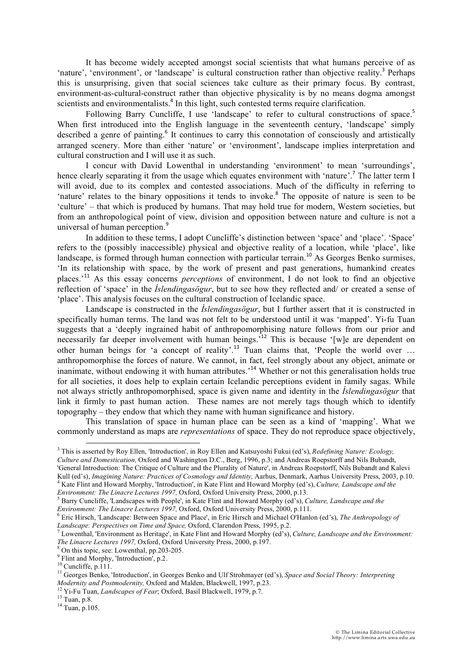It has become widely accepted amongst social scientists that what humans perceive of as 'nature', 'environment', or 'landscape' is cultural construction rather than objective reality.<sup>3</sup> Perhaps this is unsurprising, given that social sciences take culture as their primary focus. By contrast, environment-as-cultural-construct rather than objective physicality is by no means dogma amongst scientists and environmentalists.<sup>4</sup> In this light, such contested terms require clarification.

Following Barry Cuncliffe, I use 'landscape' to refer to cultural constructions of space.<sup>5</sup> When first introduced into the English language in the seventeenth century, 'landscape' simply described a genre of painting.<sup>6</sup> It continues to carry this connotation of consciously and artistically arranged scenery. More than either 'nature' or 'environment', landscape implies interpretation and cultural construction and I will use it as such.

I concur with David Lowenthal in understanding 'environment' to mean 'surroundings', hence clearly separating it from the usage which equates environment with 'nature'.<sup>7</sup> The latter term I will avoid, due to its complex and contested associations. Much of the difficulty in referring to 'nature' relates to the binary oppositions it tends to invoke.<sup>8</sup> The opposite of nature is seen to be 'culture' – that which is produced by humans. That may hold true for modern, Western societies, but from an anthropological point of view, division and opposition between nature and culture is not a universal of human perception.<sup>9</sup>

In addition to these terms, I adopt Cuncliffe's distinction between 'space' and 'place'. 'Space' refers to the (possibly inaccessible) physical and objective reality of a location, while 'place', like landscape, is formed through human connection with particular terrain.<sup>10</sup> As Georges Benko surmises, 'In its relationship with space, by the work of present and past generations, humankind creates places.'<sup>11</sup> As this essay concerns *perceptions* of environment, I do not look to find an objective reflection of 'space' in the *Íslendingasögur*, but to see how they reflected and/ or created a sense of 'place'. This analysis focuses on the cultural construction of Icelandic space.

Landscape is constructed in the *Íslendingasögur*, but I further assert that it is constructed in specifically human terms. The land was not felt to be understood until it was 'mapped'. Yi-fu Tuan suggests that a 'deeply ingrained habit of anthropomorphising nature follows from our prior and necessarily far deeper involvement with human beings.<sup>12</sup> This is because '[w]e are dependent on other human beings for 'a concept of reality'.<sup>13</sup> Tuan claims that, 'People the world over … anthropomorphise the forces of nature. We cannot, in fact, feel strongly about any object, animate or inanimate, without endowing it with human attributes.<sup>14</sup> Whether or not this generalisation holds true for all societies, it does help to explain certain Icelandic perceptions evident in family sagas. While not always strictly anthropomorphised, space is given name and identity in the *Íslendingasögur* that link it firmly to past human action. These names are not merely tags though which to identify topography – they endow that which they name with human significance and history.

This translation of space in human place can be seen as a kind of 'mapping'. What we commonly understand as maps are *representations* of space. They do not reproduce space objectively,

*Environment: The Linacre Lectures 1997, Oxford, Oxford University Press, 2000, p.13.* 

 <sup>3</sup> This is asserted by Roy Ellen, 'Introduction', in Roy Ellen and Katsuyoshi Fukui (ed's), *Redefining Nature: Ecology, Culture and Domestication,* Oxford and Washington D.C., Berg, 1996, p.3; and Andreas Roepstorff and Nils Bubandt, 'General Introduction: The Critique of Culture and the Plurality of Nature', in Andreas Roepstorff, Nils Bubandt and Kalevi Kull (ed's), *Imagining Nature: Practices of Cosmology and Identity*, Aarhus, Denmark, Aarhus University Press, 2003, p.10. Kate Flint and Howard Morphy, 'Introduction', in Kate Flint and Howard Morphy (ed's), *Culture, Landscape and the* 

Barry Cuncliffe, 'Landscapes with People', in Kate Flint and Howard Morphy (ed's), *Culture, Landscape and the Environment: The Linacre Lectures 1997, Oxford, Oxford University Press, 2000, p.111.* 

Eric Hirsch, 'Landscape: Between Space and Place', in Eric Hirsch and Michael O'Hanlon (ed's), *The Anthropology of Landscape: Perspectives on Time and Space, Oxford, Clarendon Press, 1995, p.2.* 

Lowenthal, 'Environment as Heritage', in Kate Flint and Howard Morphy (ed's), *Culture, Landscape and the Environment: The Linacre Lectures 1997, Oxford, Oxford University Press, 2000, p.197.* 

<sup>&</sup>lt;sup>8</sup> On this topic, see: Lowenthal, pp.203-205.

 $\frac{6}{100}$  Flint and Morphy, 'Introduction', p.2.

 $10$  Cuncliffe, p.111.

<sup>11</sup> Georges Benko, 'Introduction', in Georges Benko and Ulf Strohmayer (ed's), *Space and Social Theory: Interpreting Modernity and Postmodernity,* Oxford and Malden, Blackwell, 1997, p.23. 12 Yi-Fu Tuan, *Landscapes of Fear*; Oxford, Basil Blackwell, 1979, p.7. 13 Tuan, p.8.

 $14$  Tuan, p.105.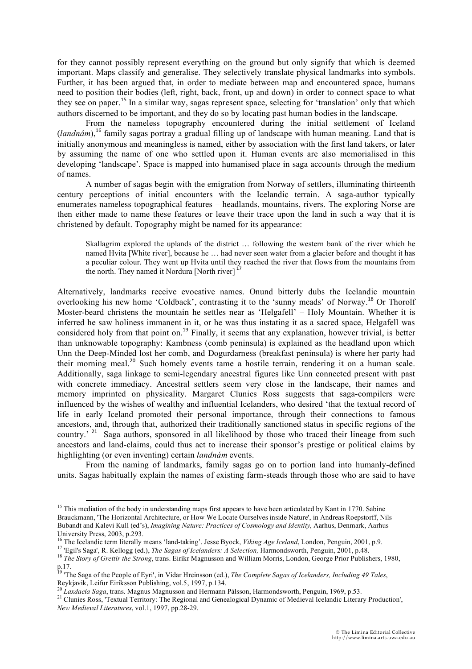for they cannot possibly represent everything on the ground but only signify that which is deemed important. Maps classify and generalise. They selectively translate physical landmarks into symbols. Further, it has been argued that, in order to mediate between map and encountered space, humans need to position their bodies (left, right, back, front, up and down) in order to connect space to what they see on paper.<sup>15</sup> In a similar way, sagas represent space, selecting for 'translation' only that which authors discerned to be important, and they do so by locating past human bodies in the landscape.

From the nameless topography encountered during the initial settlement of Iceland (*landnám*), <sup>16</sup> family sagas portray a gradual filling up of landscape with human meaning. Land that is initially anonymous and meaningless is named, either by association with the first land takers, or later by assuming the name of one who settled upon it. Human events are also memorialised in this developing 'landscape'. Space is mapped into humanised place in saga accounts through the medium of names.

A number of sagas begin with the emigration from Norway of settlers, illuminating thirteenth century perceptions of initial encounters with the Icelandic terrain. A saga-author typically enumerates nameless topographical features – headlands, mountains, rivers. The exploring Norse are then either made to name these features or leave their trace upon the land in such a way that it is christened by default. Topography might be named for its appearance:

Skallagrim explored the uplands of the district … following the western bank of the river which he named Hvita [White river], because he … had never seen water from a glacier before and thought it has a peculiar colour. They went up Hvita until they reached the river that flows from the mountains from the north. They named it Nordura [North river]  $^{17}$ 

Alternatively, landmarks receive evocative names. Onund bitterly dubs the Icelandic mountain overlooking his new home 'Coldback', contrasting it to the 'sunny meads' of Norway.<sup>18</sup> Or Thorolf Moster-beard christens the mountain he settles near as 'Helgafell' – Holy Mountain. Whether it is inferred he saw holiness immanent in it, or he was thus instating it as a sacred space, Helgafell was considered holy from that point on.<sup>19</sup> Finally, it seems that any explanation, however trivial, is better than unknowable topography: Kambness (comb peninsula) is explained as the headland upon which Unn the Deep-Minded lost her comb, and Dogurdarness (breakfast peninsula) is where her party had their morning meal.<sup>20</sup> Such homely events tame a hostile terrain, rendering it on a human scale. Additionally, saga linkage to semi-legendary ancestral figures like Unn connected present with past with concrete immediacy. Ancestral settlers seem very close in the landscape, their names and memory imprinted on physicality. Margaret Clunies Ross suggests that saga-compilers were influenced by the wishes of wealthy and influential Icelanders, who desired 'that the textual record of life in early Iceland promoted their personal importance, through their connections to famous ancestors, and, through that, authorized their traditionally sanctioned status in specific regions of the country.<sup>21</sup> Saga authors, sponsored in all likelihood by those who traced their lineage from such ancestors and land-claims, could thus act to increase their sponsor's prestige or political claims by highlighting (or even inventing) certain *landnám* events.

From the naming of landmarks, family sagas go on to portion land into humanly-defined units. Sagas habitually explain the names of existing farm-steads through those who are said to have

 $15$  This mediation of the body in understanding maps first appears to have been articulated by Kant in 1770. Sabine Brauckmann, 'The Horizontal Architecture, or How We Locate Ourselves inside Nature', in Andreas Roepstorff, Nils Bubandt and Kalevi Kull (ed's), *Imagining Nature: Practices of Cosmology and Identity,* Aarhus, Denmark, Aarhus University Press, 2003, p.293.<br><sup>16</sup> The Icelandic term literally means 'land-taking'. Jesse Byock, *Viking Age Iceland*, London, Penguin, 2001, p.9.

<sup>&</sup>lt;sup>17</sup> 'Egil's Saga', R. Kellogg (ed.), *The Sagas of Icelanders: A Selection*, Harmondsworth, Penguin, 2001, p.48.<br><sup>18</sup> The Story of Grettir the Strong, trans. Eiríkr Magnusson and William Morris, London, George Prior Publi

p.17.

<sup>&</sup>lt;sup>19</sup> 'The Saga of the People of Eyri', in Vidar Hreinsson (ed.), *The Complete Sagas of Icelanders, Including 49 Tales*, Reykjavik, Leifur Eiríksson Publishing, vol.5, 1997, p.134. 20 *Laxdaela Saga*, trans. Magnus Magnusson and Hermann Pálsson, Harmondsworth, Penguin, 1969, p.53.<br><sup>20</sup> *Laxdaela Saga*, trans. Magnus Magnusson and Hermann Pálsson, Harmondsworth, Penguin, 1969, p.53.<br><sup>21</sup> Clunies Ross,

*New Medieval Literatures*, vol.1, 1997, pp.28-29.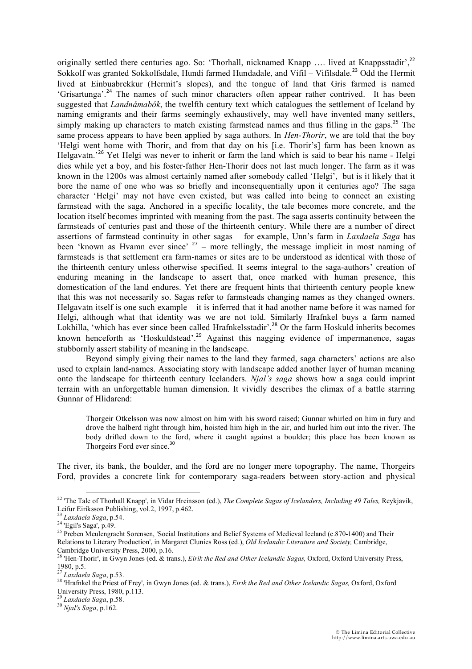originally settled there centuries ago. So: 'Thorhall, nicknamed Knapp .... lived at Knappsstadir',<sup>22</sup> Sokkolf was granted Sokkolfsdale, Hundi farmed Hundadale, and Vifil – Vifilsdale.<sup>23</sup> Odd the Hermit lived at Einbuabrekkur (Hermit's slopes), and the tongue of land that Gris farmed is named 'Grisartunga'.<sup>24</sup> The names of such minor characters often appear rather contrived. It has been suggested that *Landnámabók*, the twelfth century text which catalogues the settlement of Iceland by naming emigrants and their farms seemingly exhaustively, may well have invented many settlers, simply making up characters to match existing farmstead names and thus filling in the gaps.<sup>25</sup> The same process appears to have been applied by saga authors. In *Hen-Thorir*, we are told that the boy 'Helgi went home with Thorir, and from that day on his [i.e. Thorir's] farm has been known as Helgavatn.<sup>26</sup> Yet Helgi was never to inherit or farm the land which is said to bear his name - Helgi dies while yet a boy, and his foster-father Hen-Thorir does not last much longer. The farm as it was known in the 1200s was almost certainly named after somebody called 'Helgi', but is it likely that it bore the name of one who was so briefly and inconsequentially upon it centuries ago? The saga character 'Helgi' may not have even existed, but was called into being to connect an existing farmstead with the saga. Anchored in a specific locality, the tale becomes more concrete, and the location itself becomes imprinted with meaning from the past. The saga asserts continuity between the farmsteads of centuries past and those of the thirteenth century. While there are a number of direct assertions of farmstead continuity in other sagas – for example, Unn's farm in *Laxdaela Saga* has been 'known as Hvamn ever since' <sup>27</sup> – more tellingly, the message implicit in most naming of farmsteads is that settlement era farm-names or sites are to be understood as identical with those of the thirteenth century unless otherwise specified. It seems integral to the saga-authors' creation of enduring meaning in the landscape to assert that, once marked with human presence, this domestication of the land endures. Yet there are frequent hints that thirteenth century people knew that this was not necessarily so. Sagas refer to farmsteads changing names as they changed owners. Helgavatn itself is one such example – it is inferred that it had another name before it was named for Helgi, although what that identity was we are not told. Similarly Hrafnkel buys a farm named Lokhilla, 'which has ever since been called Hrafnkelsstadir'.<sup>28</sup> Or the farm Hoskuld inherits becomes known henceforth as 'Hoskuldstead'.<sup>29</sup> Against this nagging evidence of impermanence, sagas stubbornly assert stability of meaning in the landscape.

Beyond simply giving their names to the land they farmed, saga characters' actions are also used to explain land-names. Associating story with landscape added another layer of human meaning onto the landscape for thirteenth century Icelanders. *Njal's saga* shows how a saga could imprint terrain with an unforgettable human dimension. It vividly describes the climax of a battle starring Gunnar of Hlidarend:

Thorgeir Otkelsson was now almost on him with his sword raised; Gunnar whirled on him in fury and drove the halberd right through him, hoisted him high in the air, and hurled him out into the river. The body drifted down to the ford, where it caught against a boulder; this place has been known as Thorgeirs Ford ever since.<sup>30</sup>

The river, its bank, the boulder, and the ford are no longer mere topography. The name, Thorgeirs Ford, provides a concrete link for contemporary saga-readers between story-action and physical

<sup>&</sup>lt;sup>22</sup> 'The Tale of Thorhall Knapp', in Vidar Hreinsson (ed.), *The Complete Sagas of Icelanders, Including 49 Tales*, Reykjavik, Leifur Eiríksson Publishing, vol.2, 1997, p.462. <sup>23</sup> *Laxdaela Saga*, p.54. 24 'Egil's Saga', p.49.

<sup>&</sup>lt;sup>25</sup> Preben Meulengracht Sorensen, 'Social Institutions and Belief Systems of Medieval Iceland (c.870-1400) and Their Relations to Literary Production', in Margaret Clunies Ross (ed.), *Old Icelandic Literature and Society,* Cambridge, Cambridge University Press, 2000, p.16.

<sup>26 &#</sup>x27;Hen-Thorir', in Gwyn Jones (ed. & trans.), *Eirik the Red and Other Icelandic Sagas,* Oxford, Oxford University Press, 1980, p.5.<br><sup>27</sup> Laxdaela Saga, p.53.

<sup>27</sup> *Laxdaela Saga*, p.53. 28 'Hrafnkel the Priest of Frey', in Gwyn Jones (ed. & trans.), *Eirik the Red and Other Icelandic Sagas,* Oxford, Oxford University Press, 1980, p.113.

<sup>29</sup> *Laxdaela Saga*, p.58. 30 *Njal's Saga*, p.162.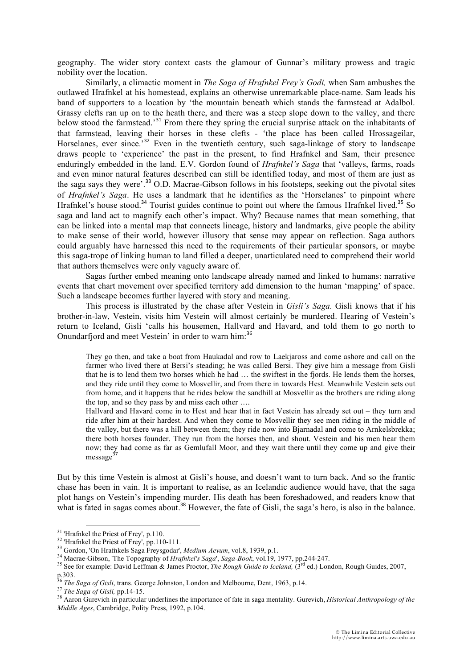geography. The wider story context casts the glamour of Gunnar's military prowess and tragic nobility over the location.

Similarly, a climactic moment in *The Saga of Hrafnkel Frey's Godi,* when Sam ambushes the outlawed Hrafnkel at his homestead, explains an otherwise unremarkable place-name. Sam leads his band of supporters to a location by 'the mountain beneath which stands the farmstead at Adalbol. Grassy clefts ran up on to the heath there, and there was a steep slope down to the valley, and there below stood the farmstead.<sup>31</sup> From there they spring the crucial surprise attack on the inhabitants of that farmstead, leaving their horses in these clefts - 'the place has been called Hrossageilar, Horselanes, ever since.<sup>32</sup> Even in the twentieth century, such saga-linkage of story to landscape draws people to 'experience' the past in the present, to find Hrafnkel and Sam, their presence enduringly embedded in the land. E.V. Gordon found of *Hrafnkel's Saga* that 'valleys, farms, roads and even minor natural features described can still be identified today, and most of them are just as the saga says they were'.<sup>33</sup> O.D. Macrae-Gibson follows in his footsteps, seeking out the pivotal sites of *Hrafnkel's Saga*. He uses a landmark that he identifies as the 'Horselanes' to pinpoint where Hrafnkel's house stood.<sup>34</sup> Tourist guides continue to point out where the famous Hrafnkel lived.<sup>35</sup> So saga and land act to magnify each other's impact. Why? Because names that mean something, that can be linked into a mental map that connects lineage, history and landmarks, give people the ability to make sense of their world, however illusory that sense may appear on reflection. Saga authors could arguably have harnessed this need to the requirements of their particular sponsors, or maybe this saga-trope of linking human to land filled a deeper, unarticulated need to comprehend their world that authors themselves were only vaguely aware of.

Sagas further embed meaning onto landscape already named and linked to humans: narrative events that chart movement over specified territory add dimension to the human 'mapping' of space. Such a landscape becomes further layered with story and meaning.

This process is illustrated by the chase after Vestein in *Gisli's Saga.* Gisli knows that if his brother-in-law, Vestein, visits him Vestein will almost certainly be murdered. Hearing of Vestein's return to Iceland, Gisli 'calls his housemen, Hallvard and Havard, and told them to go north to Onundarfjord and meet Vestein' in order to warn him:<sup>36</sup>

They go then, and take a boat from Haukadal and row to Laekjaross and come ashore and call on the farmer who lived there at Bersi's steading; he was called Bersi. They give him a message from Gisli that he is to lend them two horses which he had … the swiftest in the fjords. He lends them the horses, and they ride until they come to Mosvellir, and from there in towards Hest. Meanwhile Vestein sets out from home, and it happens that he rides below the sandhill at Mosvellir as the brothers are riding along the top, and so they pass by and miss each other ….

Hallvard and Havard come in to Hest and hear that in fact Vestein has already set out – they turn and ride after him at their hardest. And when they come to Mosvellir they see men riding in the middle of the valley, but there was a hill between them; they ride now into Bjarnadal and come to Arnkelsbrekka; there both horses founder. They run from the horses then, and shout. Vestein and his men hear them now; they had come as far as Gemlufall Moor, and they wait there until they come up and give their  $message<sup>3</sup>$ 

But by this time Vestein is almost at Gisli's house, and doesn't want to turn back. And so the frantic chase has been in vain. It is important to realise, as an Icelandic audience would have, that the saga plot hangs on Vestein's impending murder. His death has been foreshadowed, and readers know that what is fated in sagas comes about.<sup>38</sup> However, the fate of Gisli, the saga's hero, is also in the balance.

<sup>&</sup>lt;sup>31</sup> 'Hrafnkel the Priest of Frey', p.110.<br><sup>32</sup> 'Hrafnkel the Priest of Frey', pp.110-111.

<sup>&</sup>lt;sup>33</sup> Gordon, 'On Hrafnkels Saga Freysgodar', *Medium Aevum*, vol.8, 1939, p.1.<br><sup>34</sup> Macrae-Gibson, 'The Topography of *Hrafnkel's Saga*', *Saga-Book*, vol.19, 1977, pp.244-247.<br><sup>35</sup> See for example: David Leffman & James p.303.

<sup>&</sup>lt;sup>36</sup> The Saga of Gisli, trans. George Johnston, London and Melbourne, Dent, 1963, p.14.<br><sup>37</sup> The Saga of Gisli, pp.14-15.<br><sup>38</sup> Aaron Gurevich in particular underlines the importance of fate in saga mentality. Gurevich, *Hi Middle Ages*, Cambridge, Polity Press, 1992, p.104.<br>*Middle Ages*, Cambridge, Polity Press, 1992, p.104.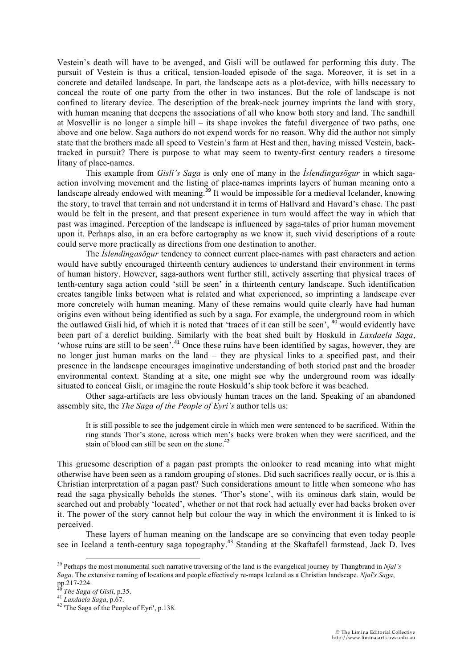Vestein's death will have to be avenged, and Gisli will be outlawed for performing this duty. The pursuit of Vestein is thus a critical, tension-loaded episode of the saga. Moreover, it is set in a concrete and detailed landscape. In part, the landscape acts as a plot-device, with hills necessary to conceal the route of one party from the other in two instances. But the role of landscape is not confined to literary device. The description of the break-neck journey imprints the land with story, with human meaning that deepens the associations of all who know both story and land. The sandhill at Mosvellir is no longer a simple hill – its shape invokes the fateful divergence of two paths, one above and one below. Saga authors do not expend words for no reason. Why did the author not simply state that the brothers made all speed to Vestein's farm at Hest and then, having missed Vestein, backtracked in pursuit? There is purpose to what may seem to twenty-first century readers a tiresome litany of place-names.

This example from *Gisli's Saga* is only one of many in the *Íslendingasögur* in which sagaaction involving movement and the listing of place-names imprints layers of human meaning onto a landscape already endowed with meaning.<sup>39</sup> It would be impossible for a medieval Icelander, knowing the story, to travel that terrain and not understand it in terms of Hallvard and Havard's chase. The past would be felt in the present, and that present experience in turn would affect the way in which that past was imagined. Perception of the landscape is influenced by saga-tales of prior human movement upon it. Perhaps also, in an era before cartography as we know it, such vivid descriptions of a route could serve more practically as directions from one destination to another.

The *Íslendingasögur* tendency to connect current place-names with past characters and action would have subtly encouraged thirteenth century audiences to understand their environment in terms of human history. However, saga-authors went further still, actively asserting that physical traces of tenth-century saga action could 'still be seen' in a thirteenth century landscape. Such identification creates tangible links between what is related and what experienced, so imprinting a landscape ever more concretely with human meaning. Many of these remains would quite clearly have had human origins even without being identified as such by a saga. For example, the underground room in which the outlawed Gisli hid, of which it is noted that 'traces of it can still be seen', <sup>40</sup> would evidently have been part of a derelict building. Similarly with the boat shed built by Hoskuld in *Laxdaela Saga*, 'whose ruins are still to be seen'.<sup>41</sup> Once these ruins have been identified by sagas, however, they are no longer just human marks on the land – they are physical links to a specified past, and their presence in the landscape encourages imaginative understanding of both storied past and the broader environmental context. Standing at a site, one might see why the underground room was ideally situated to conceal Gisli, or imagine the route Hoskuld's ship took before it was beached.

Other saga-artifacts are less obviously human traces on the land. Speaking of an abandoned assembly site, the *The Saga of the People of Eyri's* author tells us:

It is still possible to see the judgement circle in which men were sentenced to be sacrificed. Within the ring stands Thor's stone, across which men's backs were broken when they were sacrificed, and the stain of blood can still be seen on the stone.<sup>42</sup>

This gruesome description of a pagan past prompts the onlooker to read meaning into what might otherwise have been seen as a random grouping of stones. Did such sacrifices really occur, or is this a Christian interpretation of a pagan past? Such considerations amount to little when someone who has read the saga physically beholds the stones. 'Thor's stone', with its ominous dark stain, would be searched out and probably 'located', whether or not that rock had actually ever had backs broken over it. The power of the story cannot help but colour the way in which the environment it is linked to is perceived.

These layers of human meaning on the landscape are so convincing that even today people see in Iceland a tenth-century saga topography.<sup>43</sup> Standing at the Skaftafell farmstead, Jack D. Ives

<sup>39</sup> Perhaps the most monumental such narrative traversing of the land is the evangelical journey by Thangbrand in *Njal's Saga.* The extensive naming of locations and people effectively re-maps Iceland as a Christian landscape. *Njal's Saga*,

<sup>&</sup>lt;sup>46</sup> *The Saga of Gisli*, p.35.<br><sup>41</sup> *Laxdaela Saga*, p.67.<br><sup>42</sup> 'The Saga of the People of Eyri', p.138.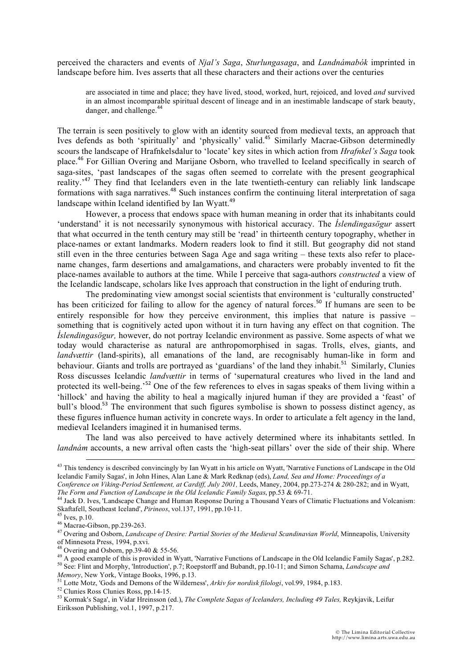perceived the characters and events of *Njal's Saga*, *Sturlungasaga*, and *Landnámabók* imprinted in landscape before him. Ives asserts that all these characters and their actions over the centuries

are associated in time and place; they have lived, stood, worked, hurt, rejoiced, and loved *and* survived in an almost incomparable spiritual descent of lineage and in an inestimable landscape of stark beauty, danger, and challenge.<sup>44</sup>

The terrain is seen positively to glow with an identity sourced from medieval texts, an approach that Ives defends as both 'spiritually' and 'physically' valid.<sup>45</sup> Similarly Macrae-Gibson determinedly scours the landscape of Hrafnkelsdalur to 'locate' key sites in which action from *Hrafnkel's Saga* took place.<sup>46</sup> For Gillian Overing and Marijane Osborn, who travelled to Iceland specifically in search of saga-sites, 'past landscapes of the sagas often seemed to correlate with the present geographical reality.<sup>47</sup> They find that Icelanders even in the late twentieth-century can reliably link landscape formations with saga narratives.<sup>48</sup> Such instances confirm the continuing literal interpretation of saga landscape within Iceland identified by Ian Wyatt.<sup>49</sup>

However, a process that endows space with human meaning in order that its inhabitants could 'understand' it is not necessarily synonymous with historical accuracy. The *Íslendingasögur* assert that what occurred in the tenth century may still be 'read' in thirteenth century topography, whether in place-names or extant landmarks. Modern readers look to find it still. But geography did not stand still even in the three centuries between Saga Age and saga writing – these texts also refer to placename changes, farm desertions and amalgamations, and characters were probably invented to fit the place-names available to authors at the time. While I perceive that saga-authors *constructed* a view of the Icelandic landscape, scholars like Ives approach that construction in the light of enduring truth.

The predominating view amongst social scientists that environment is 'culturally constructed' has been criticized for failing to allow for the agency of natural forces.<sup>50</sup> If humans are seen to be entirely responsible for how they perceive environment, this implies that nature is passive – something that is cognitively acted upon without it in turn having any effect on that cognition. The *Íslendingasögur,* however, do not portray Icelandic environment as passive. Some aspects of what we today would characterise as natural are anthropomorphised in sagas. Trolls, elves, giants, and *landvættir* (land-spirits), all emanations of the land, are recognisably human-like in form and behaviour. Giants and trolls are portrayed as 'guardians' of the land they inhabit.<sup>51</sup> Similarly, Clunies Ross discusses Icelandic *landvættir* in terms of 'supernatural creatures who lived in the land and protected its well-being.'<sup>52</sup> One of the few references to elves in sagas speaks of them living within a 'hillock' and having the ability to heal a magically injured human if they are provided a 'feast' of bull's blood.<sup>53</sup> The environment that such figures symbolise is shown to possess distinct agency, as these figures influence human activity in concrete ways. In order to articulate a felt agency in the land, medieval Icelanders imagined it in humanised terms.

The land was also perceived to have actively determined where its inhabitants settled. In *landnám* accounts, a new arrival often casts the 'high-seat pillars' over the side of their ship. Where

<u> 1989 - Johann Stoff, fransk kongresu i september og den større og en større og den som for de større og en s</u>

 $43$  This tendency is described convincingly by Ian Wyatt in his article on Wyatt, 'Narrative Functions of Landscape in the Old Icelandic Family Sagas', in John Hines, Alan Lane & Mark Redknap (eds), *Land, Sea and Home: Proceedings of a Conference on Viking-Period Settlement, at Cardiff, July 2001,* Leeds, Maney, 2004, pp.273-274 & 280-282; and in Wyatt,

*The Form and Function of Landscape in the Old Icelandic Family Sagas*, pp.53 & 69-71. 44 Jack D. Ives, 'Landscape Change and Human Response During a Thousand Years of Climatic Fluctuations and Volcanism:

Skaftafell, Southeast Iceland', *Pirineos*, vol.137, 1991, pp.10-11.<br><sup>45</sup> Ives, p.10.<br><sup>46</sup> Macrae-Gibson, pp.239-263.

<sup>&</sup>lt;sup>47</sup> Overing and Osborn, *Landscape of Desire: Partial Stories of the Medieval Scandinavian World*, Minneapolis, University of Minnesota Press, 1994, p.xvi.<br><sup>48</sup> Overing and Osborn, pp.39-40 & 55-56.

<sup>&</sup>lt;sup>49</sup> A good example of this is provided in Wyatt, 'Narrative Functions of Landscape in the Old Icelandic Family Sagas', p.282.

<sup>50</sup> See: Flint and Morphy, 'Introduction', p.7; Roepstorff and Bubandt, pp.10-11; and Simon Schama, *Landscape and* 

Memory, New York, Vintage Books, 1996, p.13.<br><sup>51</sup> Lotte Motz, 'Gods and Demons of the Wilderness', Arkiv for nordisk filologi, vol.99, 1984, p.183.<br><sup>52</sup> Clunies Ross Clunies Ross, pp.14-15.<br><sup>53</sup> Kormak's Saga', in Vidar Hr Eiríksson Publishing, vol.1, 1997, p.217.